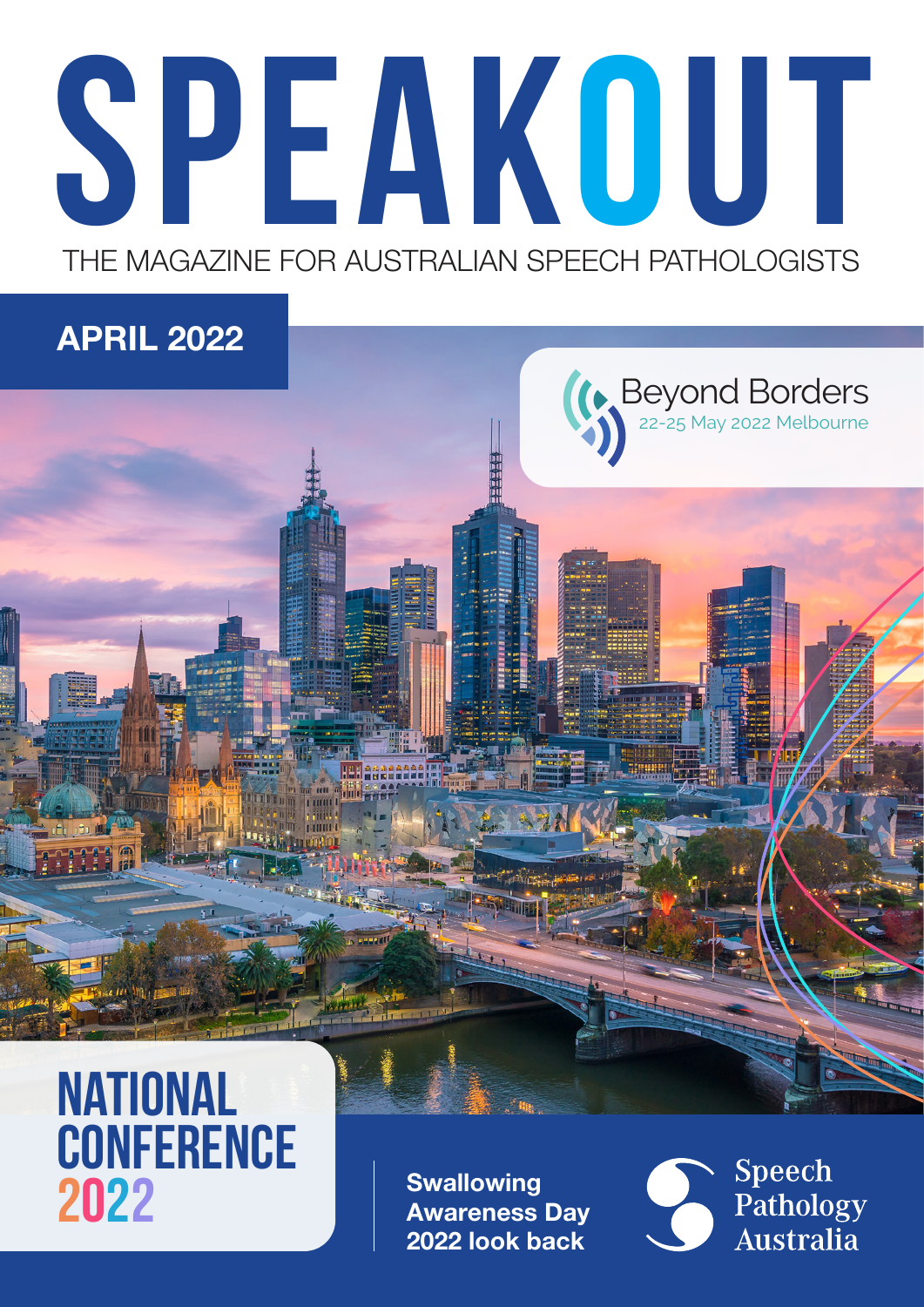# speakout THE MAGAZINE FOR AUSTRALIAN SPEECH PATHOLOGISTS

#### APRIL 2022



### **NATIONAL CONFERENCE** 2022

**Swallowing** Awareness Day 2022 look back

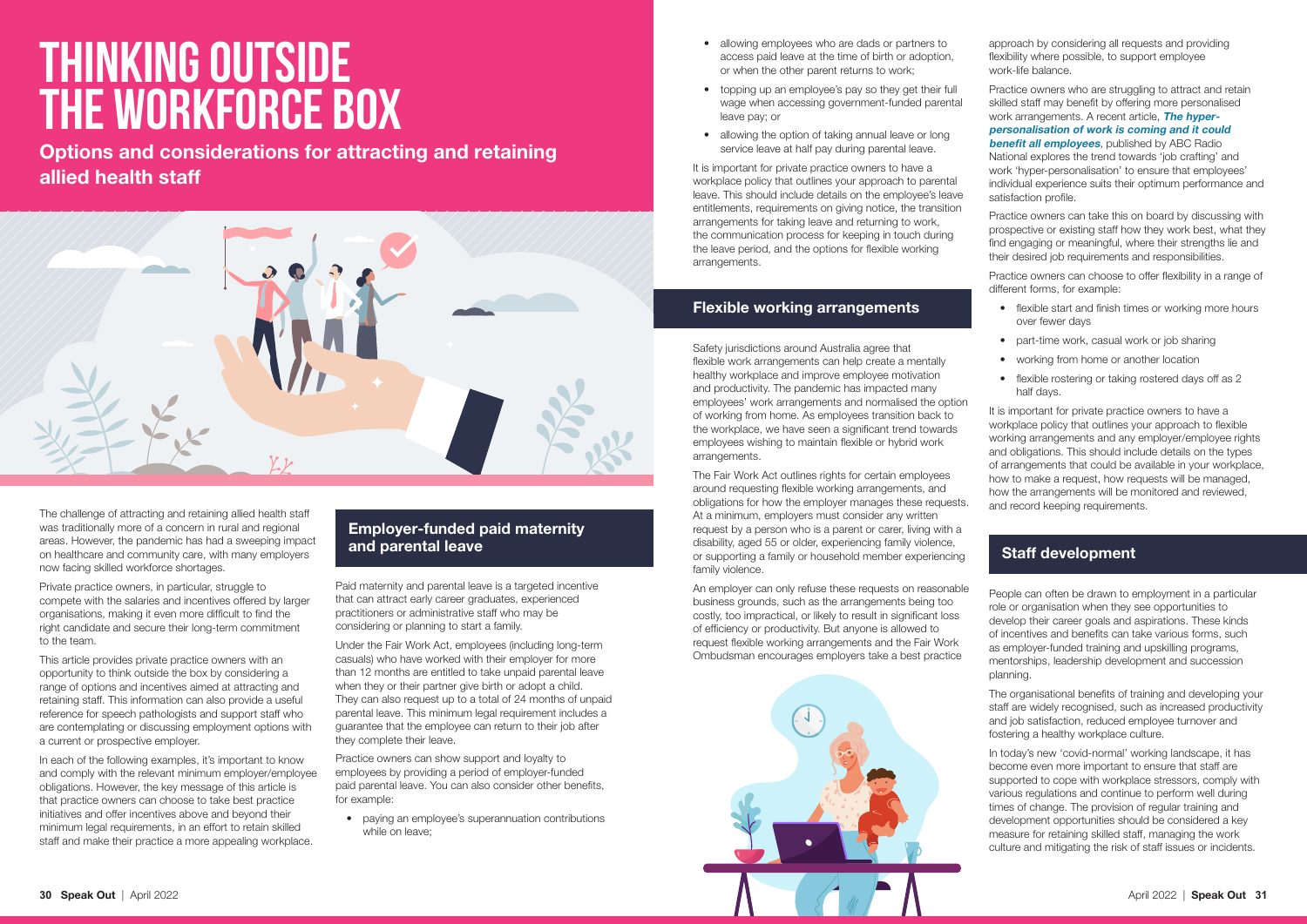

- allowing employees who are dads or partners to access paid leave at the time of birth or adoption, or when the other parent returns to work;
- topping up an employee's pay so they get their full wage when accessing government-funded parental leave pay; or
- allowing the option of taking annual leave or long service leave at half pay during parental leave.

It is important for private practice owners to have a workplace policy that outlines your approach to parental leave. This should include details on the employee's leave entitlements, requirements on giving notice, the transition arrangements for taking leave and returning to work, the communication process for keeping in touch during the leave period, and the options for flexible working arrangements.

#### Flexible working arrangements

Safety jurisdictions around Australia agree that flexible work arrangements can help create a mentally healthy workplace and improve employee motivation and productivity. The pandemic has impacted many employees' work arrangements and normalised the option of working from home. As employees transition back to the workplace, we have seen a significant trend towards employees wishing to maintain flexible or hybrid work arrangements.

The Fair Work Act outlines rights for certain employees around requesting flexible working arrangements, and obligations for how the employer manages these requests. At a minimum, employers must consider any written request by a person who is a parent or carer, living with a disability, aged 55 or older, experiencing family violence, or supporting a family or household member experiencing family violence.

An employer can only refuse these requests on reasonable business grounds, such as the arrangements being too costly, too impractical, or likely to result in significant loss of efficiency or productivity. But anyone is allowed to request flexible working arrangements and the Fair Work Ombudsman encourages employers take a best practice

approach by considering all requests and providing flexibility where possible, to support employee work-life balance.

Practice owners who are struggling to attract and retain skilled staff may benefit by offering more personalised work arrangements. A recent article, [The hyper](https://www.abc.net.au/news/2022-01-06/hyper-personalisation-of-work-coming-its-good-for-all-employees/100737426)[personalisation of work is coming and it could](https://www.abc.net.au/news/2022-01-06/hyper-personalisation-of-work-coming-its-good-for-all-employees/100737426)  **[benefit all employees](https://www.abc.net.au/news/2022-01-06/hyper-personalisation-of-work-coming-its-good-for-all-employees/100737426)**, published by ABC Radio National explores the trend towards 'job crafting' and work 'hyper-personalisation' to ensure that employees' individual experience suits their optimum performance and satisfaction profile.

Practice owners can take this on board by discussing with prospective or existing staff how they work best, what they find engaging or meaningful, where their strengths lie and their desired job requirements and responsibilities.

Practice owners can choose to offer flexibility in a range of different forms, for example:

In each of the following examples, it's important to know and comply with the relevant minimum employer/employee obligations. However, the key message of this article is that practice owners can choose to take best practice initiatives and offer incentives above and beyond their minimum legal requirements, in an effort to retain skilled staff and make their practice a more appealing workplace.

- flexible start and finish times or working more hours over fewer days
- part-time work, casual work or job sharing
- working from home or another location
- flexible rostering or taking rostered days off as 2 half days.

It is important for private practice owners to have a workplace policy that outlines your approach to flexible working arrangements and any employer/employee rights and obligations. This should include details on the types of arrangements that could be available in your workplace, how to make a request, how requests will be managed, how the arrangements will be monitored and reviewed, and record keeping requirements.

#### Staff development

People can often be drawn to employment in a particular role or organisation when they see opportunities to develop their career goals and aspirations. These kinds of incentives and benefits can take various forms, such as employer-funded training and upskilling programs, mentorships, leadership development and succession planning.

The organisational benefits of training and developing your staff are widely recognised, such as increased productivity and job satisfaction, reduced employee turnover and fostering a healthy workplace culture.

In today's new 'covid-normal' working landscape, it has become even more important to ensure that staff are supported to cope with workplace stressors, comply with various regulations and continue to perform well during times of change. The provision of regular training and development opportunities should be considered a key measure for retaining skilled staff, managing the work culture and mitigating the risk of staff issues or incidents.

### Thinking outside the workforce box

The challenge of attracting and retaining allied health staff was traditionally more of a concern in rural and regional areas. However, the pandemic has had a sweeping impact on healthcare and community care, with many employers now facing skilled workforce shortages.

Private practice owners, in particular, struggle to compete with the salaries and incentives offered by larger organisations, making it even more difficult to find the right candidate and secure their long-term commitment to the team.

This article provides private practice owners with an opportunity to think outside the box by considering a range of options and incentives aimed at attracting and retaining staff. This information can also provide a useful reference for speech pathologists and support staff who are contemplating or discussing employment options with a current or prospective employer.

#### Employer-funded paid maternity and parental leave

Paid maternity and parental leave is a targeted incentive that can attract early career graduates, experienced practitioners or administrative staff who may be considering or planning to start a family.

Under the Fair Work Act, employees (including long-term casuals) who have worked with their employer for more than 12 months are entitled to take unpaid parental leave when they or their partner give birth or adopt a child. They can also request up to a total of 24 months of unpaid parental leave. This minimum legal requirement includes a guarantee that the employee can return to their job after they complete their leave.

Practice owners can show support and loyalty to employees by providing a period of employer-funded paid parental leave. You can also consider other benefits, for example:

• paying an employee's superannuation contributions while on leave;

Options and considerations for attracting and retaining allied health staff